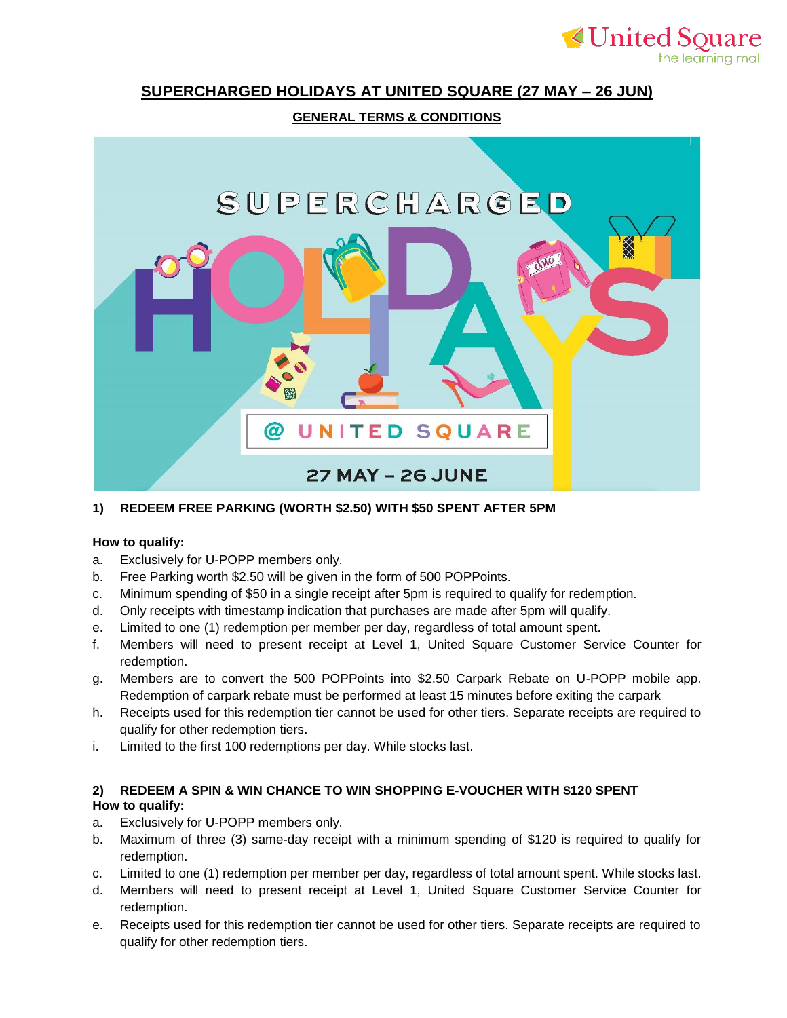# **SUPERCHARGED HOLIDAYS AT UNITED SQUARE (27 MAY – 26 JUN)**

**≮United Souare** 

the learning mall

### **GENERAL TERMS & CONDITIONS**



#### **1) REDEEM FREE PARKING (WORTH \$2.50) WITH \$50 SPENT AFTER 5PM**

#### **How to qualify:**

- a. Exclusively for U-POPP members only.
- b. Free Parking worth \$2.50 will be given in the form of 500 POPPoints.
- c. Minimum spending of \$50 in a single receipt after 5pm is required to qualify for redemption.
- d. Only receipts with timestamp indication that purchases are made after 5pm will qualify.
- e. Limited to one (1) redemption per member per day, regardless of total amount spent.
- f. Members will need to present receipt at Level 1, United Square Customer Service Counter for redemption.
- g. Members are to convert the 500 POPPoints into \$2.50 Carpark Rebate on U-POPP mobile app. Redemption of carpark rebate must be performed at least 15 minutes before exiting the carpark
- h. Receipts used for this redemption tier cannot be used for other tiers. Separate receipts are required to qualify for other redemption tiers.
- i. Limited to the first 100 redemptions per day. While stocks last.

#### **2) REDEEM A SPIN & WIN CHANCE TO WIN SHOPPING E-VOUCHER WITH \$120 SPENT How to qualify:**

- a. Exclusively for U-POPP members only.
- b. Maximum of three (3) same-day receipt with a minimum spending of \$120 is required to qualify for redemption.
- c. Limited to one (1) redemption per member per day, regardless of total amount spent. While stocks last.
- d. Members will need to present receipt at Level 1, United Square Customer Service Counter for redemption.
- e. Receipts used for this redemption tier cannot be used for other tiers. Separate receipts are required to qualify for other redemption tiers.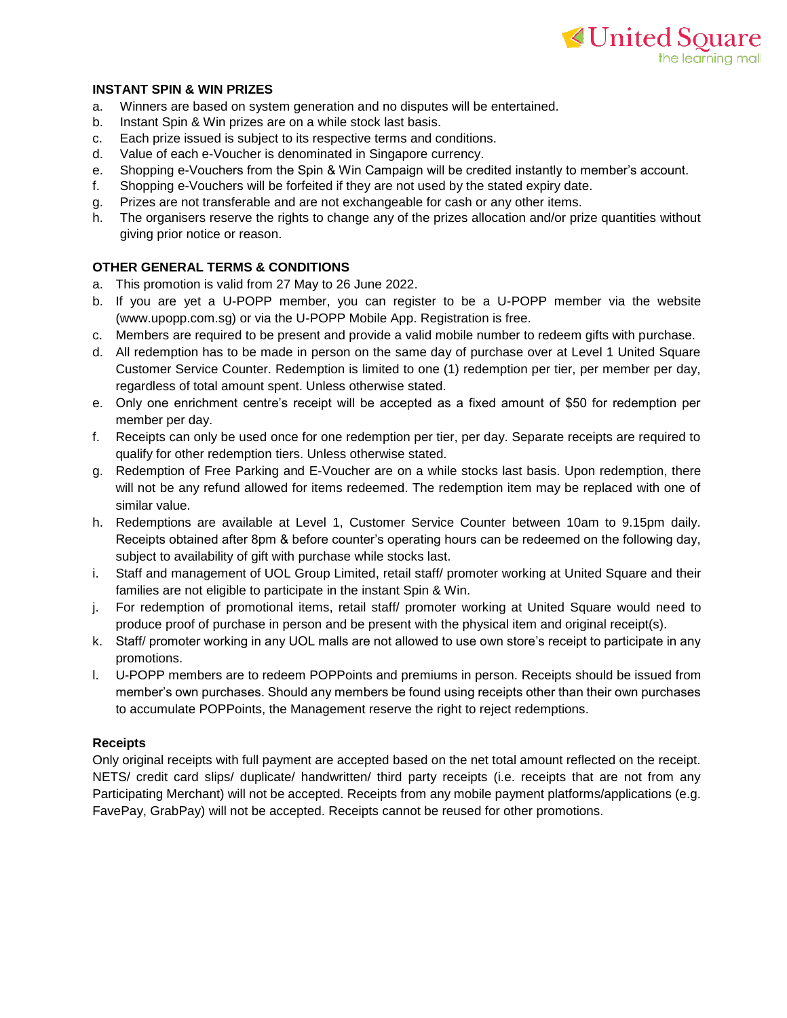## **≮United Souare** the learning mall

#### **INSTANT SPIN & WIN PRIZES**

- a. Winners are based on system generation and no disputes will be entertained.
- b. Instant Spin & Win prizes are on a while stock last basis.
- c. Each prize issued is subject to its respective terms and conditions.
- d. Value of each e-Voucher is denominated in Singapore currency.
- e. Shopping e-Vouchers from the Spin & Win Campaign will be credited instantly to member's account.
- f. Shopping e-Vouchers will be forfeited if they are not used by the stated expiry date.
- g. Prizes are not transferable and are not exchangeable for cash or any other items.
- h. The organisers reserve the rights to change any of the prizes allocation and/or prize quantities without giving prior notice or reason.

#### **OTHER GENERAL TERMS & CONDITIONS**

- a. This promotion is valid from 27 May to 26 June 2022.
- b. If you are yet a U-POPP member, you can register to be a U-POPP member via the website (www.upopp.com.sg) or via the U-POPP Mobile App. Registration is free.
- c. Members are required to be present and provide a valid mobile number to redeem gifts with purchase.
- d. All redemption has to be made in person on the same day of purchase over at Level 1 United Square Customer Service Counter. Redemption is limited to one (1) redemption per tier, per member per day, regardless of total amount spent. Unless otherwise stated.
- e. Only one enrichment centre's receipt will be accepted as a fixed amount of \$50 for redemption per member per day.
- f. Receipts can only be used once for one redemption per tier, per day. Separate receipts are required to qualify for other redemption tiers. Unless otherwise stated.
- g. Redemption of Free Parking and E-Voucher are on a while stocks last basis. Upon redemption, there will not be any refund allowed for items redeemed. The redemption item may be replaced with one of similar value.
- h. Redemptions are available at Level 1, Customer Service Counter between 10am to 9.15pm daily. Receipts obtained after 8pm & before counter's operating hours can be redeemed on the following day, subject to availability of gift with purchase while stocks last.
- i. Staff and management of UOL Group Limited, retail staff/ promoter working at United Square and their families are not eligible to participate in the instant Spin & Win.
- j. For redemption of promotional items, retail staff/ promoter working at United Square would need to produce proof of purchase in person and be present with the physical item and original receipt(s).
- k. Staff/ promoter working in any UOL malls are not allowed to use own store's receipt to participate in any promotions.
- l. U-POPP members are to redeem POPPoints and premiums in person. Receipts should be issued from member's own purchases. Should any members be found using receipts other than their own purchases to accumulate POPPoints, the Management reserve the right to reject redemptions.

#### **Receipts**

Only original receipts with full payment are accepted based on the net total amount reflected on the receipt. NETS/ credit card slips/ duplicate/ handwritten/ third party receipts (i.e. receipts that are not from any Participating Merchant) will not be accepted. Receipts from any mobile payment platforms/applications (e.g. FavePay, GrabPay) will not be accepted. Receipts cannot be reused for other promotions.